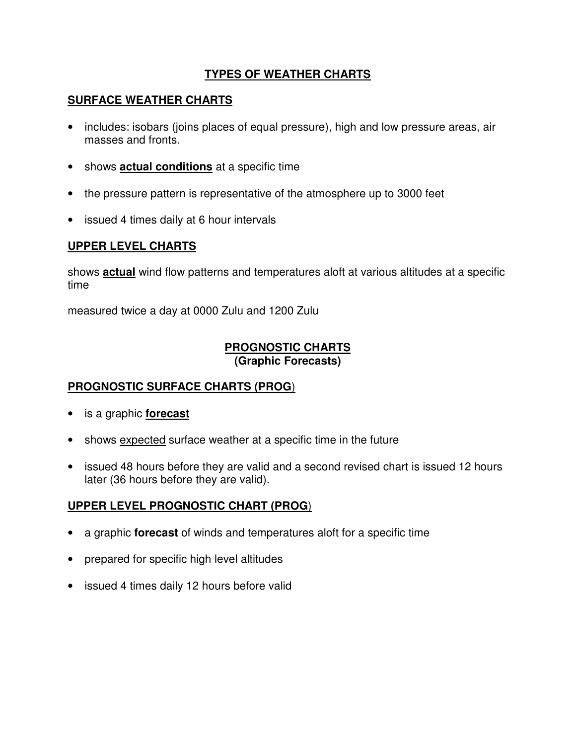# **TYPES OF WEATHER CHARTS**

### **SURFACE WEATHER CHARTS**

- includes: isobars (joins places of equal pressure), high and low pressure areas, air masses and fronts.
- shows **actual conditions** at a specific time
- the pressure pattern is representative of the atmosphere up to 3000 feet
- issued 4 times daily at 6 hour intervals

### **UPPER LEVEL CHARTS**

shows **actual** wind flow patterns and temperatures aloft at various altitudes at a specific time

measured twice a day at 0000 Zulu and 1200 Zulu

#### **PROGNOSTIC CHARTS (Graphic Forecasts)**

### **PROGNOSTIC SURFACE CHARTS (PROG**)

- is a graphic **forecast**
- shows expected surface weather at a specific time in the future
- issued 48 hours before they are valid and a second revised chart is issued 12 hours later (36 hours before they are valid).

### **UPPER LEVEL PROGNOSTIC CHART (PROG**)

- a graphic **forecast** of winds and temperatures aloft for a specific time
- prepared for specific high level altitudes
- issued 4 times daily 12 hours before valid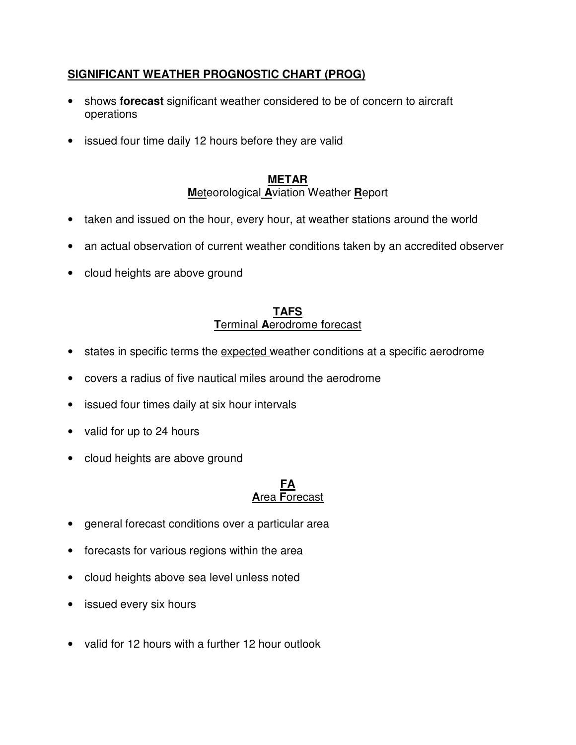# **SIGNIFICANT WEATHER PROGNOSTIC CHART (PROG)**

- shows **forecast** significant weather considered to be of concern to aircraft operations
- issued four time daily 12 hours before they are valid

# **METAR**

**M**eteorological **A**viation Weather **R**eport

- taken and issued on the hour, every hour, at weather stations around the world
- an actual observation of current weather conditions taken by an accredited observer
- cloud heights are above ground

#### **TAFS T**erminal **A**erodrome **f**orecast

- states in specific terms the expected weather conditions at a specific aerodrome
- covers a radius of five nautical miles around the aerodrome
- issued four times daily at six hour intervals
- valid for up to 24 hours
- cloud heights are above ground

#### **FA A**rea **F**orecast

- general forecast conditions over a particular area
- forecasts for various regions within the area
- cloud heights above sea level unless noted
- issued every six hours
- valid for 12 hours with a further 12 hour outlook